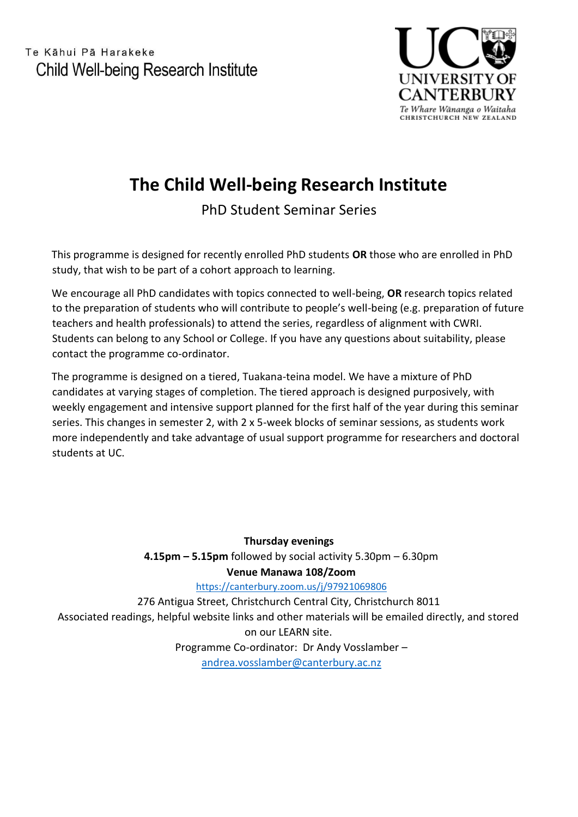Te Kāhui Pā Harakeke Child Well-being Research Institute



## **The Child Well-being Research Institute**

PhD Student Seminar Series

This programme is designed for recently enrolled PhD students **OR** those who are enrolled in PhD study, that wish to be part of a cohort approach to learning.

We encourage all PhD candidates with topics connected to well-being, **OR** research topics related to the preparation of students who will contribute to people's well-being (e.g. preparation of future teachers and health professionals) to attend the series, regardless of alignment with CWRI. Students can belong to any School or College. If you have any questions about suitability, please contact the programme co-ordinator.

The programme is designed on a tiered, Tuakana-teina model. We have a mixture of PhD candidates at varying stages of completion. The tiered approach is designed purposively, with weekly engagement and intensive support planned for the first half of the year during this seminar series. This changes in semester 2, with 2 x 5-week blocks of seminar sessions, as students work more independently and take advantage of usual support programme for researchers and doctoral students at UC.

**Thursday evenings 4.15pm – 5.15pm** followed by social activity 5.30pm – 6.30pm **Venue Manawa 108/Zoom** <https://canterbury.zoom.us/j/97921069806> 276 Antigua Street, Christchurch Central City, Christchurch 8011

Associated readings, helpful website links and other materials will be emailed directly, and stored on our LEARN site. Programme Co-ordinator: Dr Andy Vosslamber –

[andrea.vosslamber@canterbury.ac.nz](mailto:andrea.vosslamber@canterbury.ac.nz)